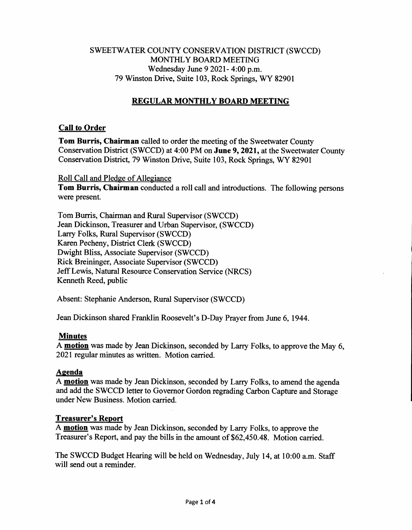# SWEETWATER COUNTY CONSERVATION DISTRICT (SWCCD) MONTHLY BOARD MEETING Wednesday June 9 2021- 4:00 p.m. 79 Winston Drive, Suite 103, Rock Springs, WY 82901

# **REGULAR MONTHLY BOARD MEETING**

## **Call to Order**

**Tom Burris, Chairman** called to order the meeting of the Sweetwater County Conservation District (SWCCD) at 4:00 PM on **June 9, 2021,** at the Sweetwater County Conservation District, 79 Winston Drive, Suite 103, Rock Springs, WY 82901

Roll Call and Pledge of Allegiance **Tom Burris, Chairman** conducted a roll call and introductions. The following persons were present.

Tom Burris, Chairman and Rural Supervisor (SWCCD) Jean Dickinson, Treasurer and Urban Supervisor, (SWCCD) Larry Folks, Rural Supervisor (SWCCD) Karen Pecheny, District Clerk (SWCCD) Dwight Bliss, Associate Supervisor (SWCCD) Rick Breininger, Associate Supervisor (SWCCD) Jeff Lewis, Natural Resource Conservation Service (NRCS) Kenneth Reed, public

Absent: Stephanie Anderson, Rural Supervisor (SWCCD)

Jean Dickinson shared Franklin Roosevelt's D-Day Prayer from June 6, 1944.

#### **Minutes**

A **motion** was made by Jean Dickinson, seconded by Larry Folks, to approve the May 6, 2021 regular minutes as written. Motion carried.

#### **Agenda**

A **motion** was made by Jean Dickinson, seconded by Larry Folks, to amend the agenda and add the SWCCD letter to Governor Gordon regrading Carbon Capture and Storage under New Business. Motion carried.

#### **Treasurer's Report**

A **motion** was made by Jean Dickinson, seconded by Larry Folks, to approve the Treasurer's Report, and pay the bills in the amount of \$62,450.48. Motion carried.

The SWCCD Budget Hearing will be held on Wednesday, July 14, at 10:00 a.m. Staff will send out a reminder.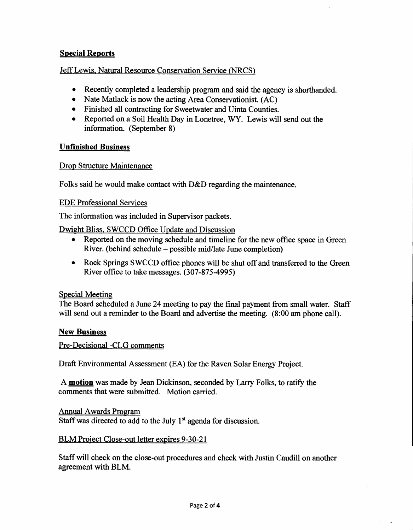## **Special Reports**

## Jeff Lewis, Natural Resource Conservation Service (NRCS)

- Recently completed a leadership program and said the agency is shorthanded.
- Nate Matlack is now the acting Area Conservationist. (AC)
- Finished all contracting for Sweetwater and Uinta Counties.
- Reported on a Soil Health Day in Lonetree, WY. Lewis will send out the information. (September 8)

## **Unfinished Business**

#### Drop Structure Maintenance

Folks said he would make contact with D&D regarding the maintenance.

#### EDE Professional Services

The information was included in Supervisor packets.

Dwight Bliss, SWCCD Office Update and Discussion

- Reported on the moving schedule and timeline for the new office space in Green River. (behind schedule — possible mid/late June completion)
- Rock Springs SWCCD office phones will be shut off and transferred to the Green River office to take messages. (307-875-4995)

#### Special Meeting

The Board scheduled a June 24 meeting to pay the final payment from small water. Staff will send out a reminder to the Board and advertise the meeting. (8:00 am phone call).

#### **New Business**

Pre-Decisional -CLG comments

Draft Environmental Assessment (EA) for the Raven Solar Energy Project.

A **motion** was made by Jean Dickinson, seconded by Larry Folks, to ratify the comments that were submitted. Motion carried.

Annual Awards Program

Staff was directed to add to the July  $1<sup>st</sup>$  agenda for discussion.

#### BLM Project Close-out letter expires 9-30-21

Staff will check on the close-out procedures and check with Justin Caudill on another agreement with BLM.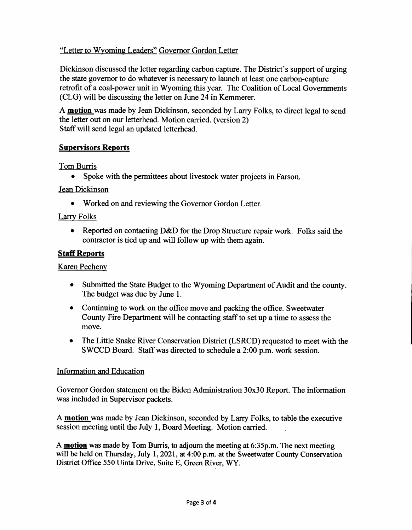# "Letter to Wyoming Leaders" Governor Gordon Letter

Dickinson discussed the letter regarding carbon capture. The District's support of urging the state governor to do whatever is necessary to launch at least one carbon-capture retrofit of a coal-power unit in Wyoming this year. The Coalition of Local Governments (CLG) will be discussing the letter on June 24 in Kemmerer.

A **motion** was made by Jean Dickinson, seconded by Larry Folks, to direct legal to send the letter out on our letterhead. Motion carried. (version 2) Staff will send legal an updated letterhead.

## **Supervisors Reports**

## Tom Burris

• Spoke with the permittees about livestock water projects in Farson.

## Jean Dickinson

• Worked on and reviewing the Governor Gordon Letter.

## Larry Folks

• Reported on contacting D&D for the Drop Structure repair work. Folks said the contractor is tied up and will follow up with them again.

## **Staff Reports**

Karen Pecheny

- Submitted the State Budget to the Wyoming Department of Audit and the county. The budget was due by June 1.
- Continuing to work on the office move and packing the office. Sweetwater County Fire Department will be contacting staff to set up a time to assess the move.
- The Little Snake River Conservation District (LSRCD) requested to meet with the SWCCD Board. Staff was directed to schedule a 2:00 p.m. work session.

#### Information and Education

Governor Gordon statement on the Biden Administration 30x30 Report. The information was included in Supervisor packets.

A **motion** was made by Jean Dickinson, seconded by Larry Folks, to table the executive session meeting until the July 1, Board Meeting. Motion carried.

A **motion was made by Tom Burris, to adjourn the meeting at 6:35p.m. The next meeting will be held on Thursday, July 1, 2021, at 4:00 p.m. at the Sweetwater County Conservation District Office 550 Uinta Drive, Suite E, Green River, WY.**